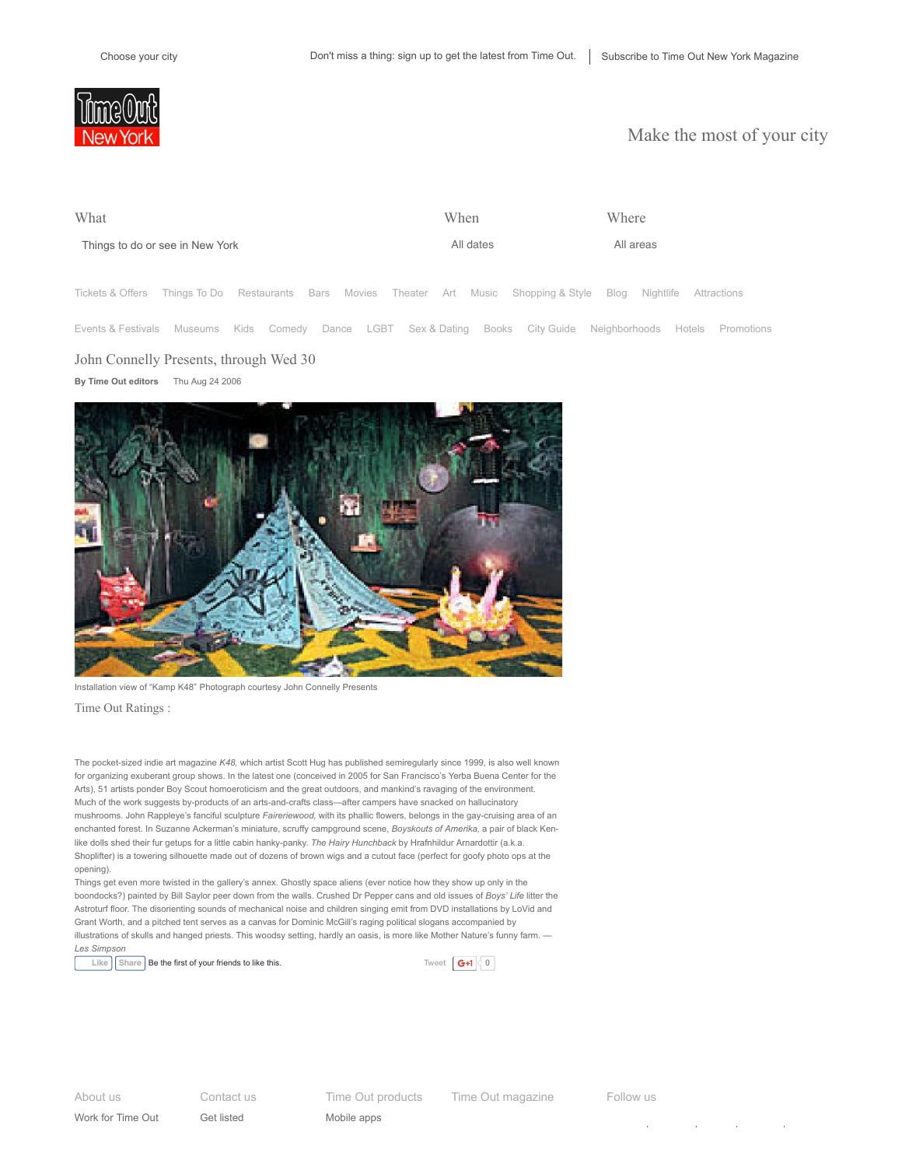

## Make the most of your city

| What                            | When      | Where     |
|---------------------------------|-----------|-----------|
| Things to do or see in New York | All dates | All areas |

Tickets & Offers Things To Do Restaurants Bars Movies Theater Art Music Shopping & Style Blog Nightlife Attractions

events & Festivals Museums Kids Comedy Dance LGBT Sex & Dating Books City Guide Neighborhoods Hotels Promotions<br>Events & Festivals Museums Kids Comedy Dance LGBT Sex & Dating Books City Guide Neighborhoods Hotels Promotion

## John Connelly Presents, through Wed 30

**By Time Out editors** Thu Aug 24 2006



Installation view of "Kamp K48" Photograph courtesy John Connelly Presents

Time Out Ratings :

The pocket-sized indie art magazine K48, which artist Scott Hug has published semiregularly since 1999, is also well known for organizing exuberant group shows. In the latest one (conceived in 2005 for San Francisco's Yerba Buena Center for the Arts), 51 artists ponder Boy Scout homoeroticism and the great outdoors, and mankind's ravaging of the environment. Much of the work suggests by-products of an arts-and-crafts class—after campers have snacked on hallucinatory mushrooms. John Rappleye's fanciful sculpture *Faireriewood,* with its phallic flowers, belongs in the gaycruising area of an enchanted forest. In Suzanne Ackerman's miniature, scruffy campground scene, *Boyskouts of Amerika,* a pair of black Kenlike dolls shed their fur getups for a little cabin hanky-panky. The Hairy Hunchback by Hrafnhildur Arnardottir (a.k.a. Shoplifter) is a towering silhouette made out of dozens of brown wigs and a cutout face (perfect for goofy photo ops at the opening).

Things get even more twisted in the gallery's annex. Ghostly space aliens (ever notice how they show up only in the boondocks?) painted by Bill Saylor peer down from the walls. Crushed Dr Pepper cans and old issues of *Boys' Life* litter the Astroturf floor. The disorienting sounds of mechanical noise and children singing emit from DVD installations by LoVid and Grant Worth, and a pitched tent serves as a canvas for Dominic McGill's raging political slogans accompanied by illustrations of skulls and hanged priests. This woodsy setting, hardly an oasis, is more like Mother Nature's funny farm. -*Les Simpson*





About us Work for Time Out Contact us Get listed

Time Out products Mobile apps

Time Out magazine Follow us